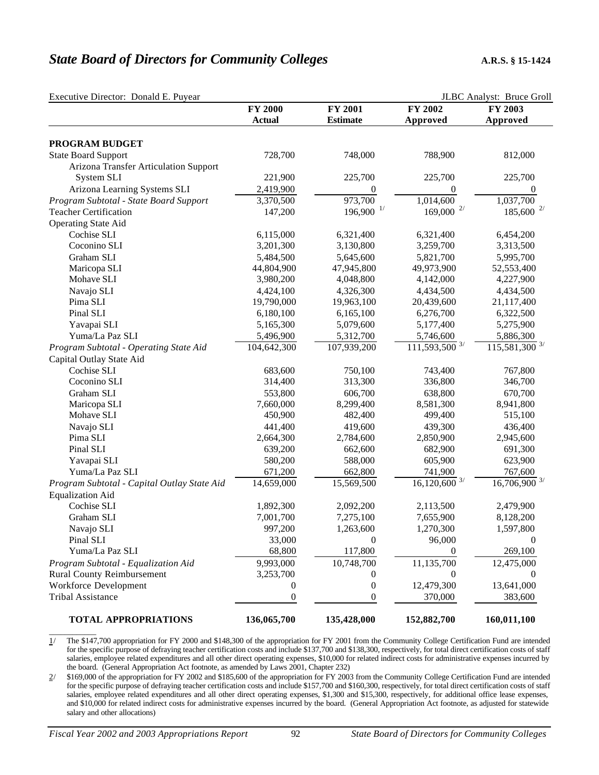## **State Board of Directors for Community Colleges** A.R.S. § 15-1424

| Executive Director: Donald E. Puyear         |                  |                         | JLBC Analyst: Bruce Groll    |                             |  |
|----------------------------------------------|------------------|-------------------------|------------------------------|-----------------------------|--|
|                                              | <b>FY 2000</b>   | FY 2001                 | FY 2002                      | FY 2003                     |  |
|                                              | <b>Actual</b>    | <b>Estimate</b>         | Approved                     | Approved                    |  |
| PROGRAM BUDGET                               |                  |                         |                              |                             |  |
| <b>State Board Support</b>                   | 728,700          | 748,000                 | 788,900                      | 812,000                     |  |
| <b>Arizona Transfer Articulation Support</b> |                  |                         |                              |                             |  |
| System SLI                                   | 221,900          | 225,700                 | 225,700                      | 225,700                     |  |
| Arizona Learning Systems SLI                 | 2,419,900        | $\boldsymbol{0}$        | $\boldsymbol{0}$             | $\boldsymbol{0}$            |  |
| Program Subtotal - State Board Support       | 3,370,500        | 973,700                 | 1,014,600                    | 1,037,700                   |  |
| <b>Teacher Certification</b>                 | 147,200          | $196,900$ <sup>1/</sup> | $169{,}000$ $^{\mathrm{2/}}$ | $185,600$ <sup>2/</sup>     |  |
| <b>Operating State Aid</b>                   |                  |                         |                              |                             |  |
| Cochise SLI                                  | 6,115,000        | 6,321,400               | 6,321,400                    | 6,454,200                   |  |
| Coconino SLI                                 | 3,201,300        | 3,130,800               | 3,259,700                    | 3,313,500                   |  |
| Graham SLI                                   | 5,484,500        | 5,645,600               | 5,821,700                    | 5,995,700                   |  |
| Maricopa SLI                                 | 44,804,900       | 47,945,800              | 49,973,900                   | 52,553,400                  |  |
| Mohave SLI                                   | 3,980,200        | 4,048,800               | 4,142,000                    | 4,227,900                   |  |
| Navajo SLI                                   | 4,424,100        | 4,326,300               | 4,434,500                    | 4,434,500                   |  |
| Pima SLI                                     | 19,790,000       | 19,963,100              | 20,439,600                   | 21,117,400                  |  |
| Pinal SLI                                    | 6,180,100        | 6,165,100               | 6,276,700                    | 6,322,500                   |  |
| Yavapai SLI                                  | 5,165,300        | 5,079,600               | 5,177,400                    | 5,275,900                   |  |
| Yuma/La Paz SLI                              | 5,496,900        | 5,312,700               | 5,746,600                    | 5,886,300                   |  |
| Program Subtotal - Operating State Aid       | 104,642,300      | 107,939,200             | $111,593,500$ <sup>3/</sup>  | $115,581,300$ <sup>3/</sup> |  |
| Capital Outlay State Aid                     |                  |                         |                              |                             |  |
| Cochise SLI                                  | 683,600          | 750,100                 | 743,400                      | 767,800                     |  |
| Coconino SLI                                 | 314,400          | 313,300                 | 336,800                      | 346,700                     |  |
| Graham SLI                                   | 553,800          | 606,700                 | 638,800                      | 670,700                     |  |
| Maricopa SLI                                 | 7,660,000        | 8,299,400               | 8,581,300                    | 8,941,800                   |  |
| Mohave SLI                                   | 450,900          | 482,400                 | 499,400                      | 515,100                     |  |
| Navajo SLI                                   | 441,400          | 419,600                 | 439,300                      | 436,400                     |  |
| Pima SLI                                     | 2,664,300        | 2,784,600               | 2,850,900                    | 2,945,600                   |  |
| Pinal SLI                                    | 639,200          | 662,600                 | 682,900                      | 691,300                     |  |
| Yavapai SLI                                  | 580,200          | 588,000                 | 605,900                      | 623,900                     |  |
| Yuma/La Paz SLI                              | 671,200          | 662,800                 | 741,900                      | 767,600                     |  |
| Program Subtotal - Capital Outlay State Aid  | 14,659,000       | 15,569,500              | $16,120,600$ <sup>3/</sup>   | $16,706,900$ <sup>3/</sup>  |  |
| <b>Equalization Aid</b>                      |                  |                         |                              |                             |  |
| Cochise SLI                                  | 1,892,300        | 2,092,200               | 2,113,500                    | 2,479,900                   |  |
| Graham SLI                                   | 7,001,700        | 7,275,100               | 7,655,900                    | 8,128,200                   |  |
| Navajo SLI                                   | 997,200          | 1,263,600               | 1,270,300                    | 1,597,800                   |  |
| Pinal SLI                                    | 33,000           | 0                       | 96,000                       | $\Omega$                    |  |
| Yuma/La Paz SLI                              | 68,800           | 117,800                 | $\theta$                     | 269,100                     |  |
| Program Subtotal - Equalization Aid          | 9,993,000        | 10,748,700              | 11,135,700                   | 12,475,000                  |  |
| <b>Rural County Reimbursement</b>            | 3,253,700        | $\theta$                | 0                            |                             |  |
| Workforce Development                        | $\theta$         | 0                       | 12,479,300                   | 13,641,000                  |  |
| <b>Tribal Assistance</b>                     | $\boldsymbol{0}$ | 0                       | 370,000                      | 383,600                     |  |
| <b>TOTAL APPROPRIATIONS</b>                  | 136,065,700      | 135,428,000             | 152,882,700                  | 160,011,100                 |  |

1/ The \$147,700 appropriation for FY 2000 and \$148,300 of the appropriation for FY 2001 from the Community College Certification Fund are intended for the specific purpose of defraying teacher certification costs and include \$137,700 and \$138,300, respectively, for total direct certification costs of staff salaries, employee related expenditures and all other direct operating expenses, \$10,000 for related indirect costs for administrative expenses incurred by the board. (General Appropriation Act footnote, as amended by Laws 2001, Chapter 232)

2/ \$169,000 of the appropriation for FY 2002 and \$185,600 of the appropriation for FY 2003 from the Community College Certification Fund are intended for the specific purpose of defraying teacher certification costs and include \$157,700 and \$160,300, respectively, for total direct certification costs of staff salaries, employee related expenditures and all other direct operating expenses, \$1,300 and \$15,300, respectively, for additional office lease expenses, and \$10,000 for related indirect costs for administrative expenses incurred by the board. (General Appropriation Act footnote, as adjusted for statewide salary and other allocations)

\_\_\_\_\_\_\_\_\_\_\_\_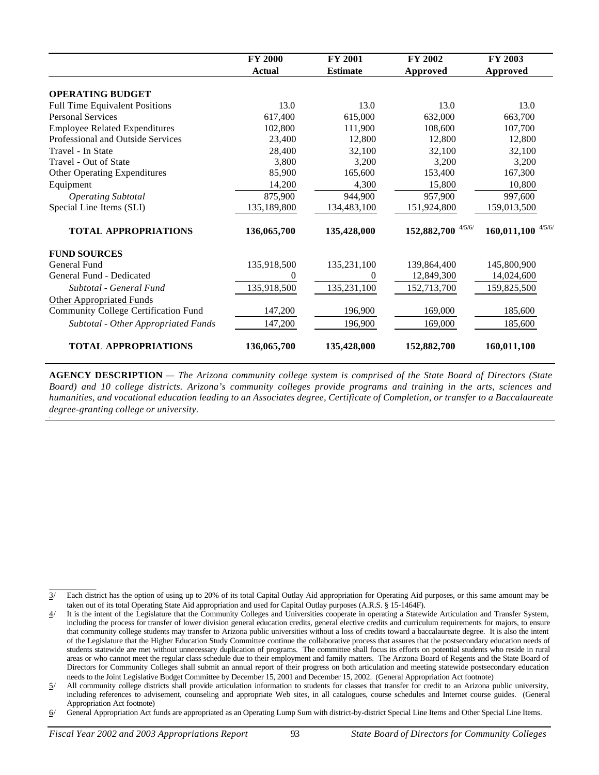|                                             | <b>FY 2000</b> | FY 2001         | FY 2002               | FY 2003               |
|---------------------------------------------|----------------|-----------------|-----------------------|-----------------------|
|                                             | <b>Actual</b>  | <b>Estimate</b> | Approved              | Approved              |
| <b>OPERATING BUDGET</b>                     |                |                 |                       |                       |
| <b>Full Time Equivalent Positions</b>       | 13.0           | 13.0            | 13.0                  | 13.0                  |
| <b>Personal Services</b>                    | 617,400        | 615,000         | 632,000               | 663,700               |
| <b>Employee Related Expenditures</b>        | 102,800        | 111,900         | 108,600               | 107,700               |
| Professional and Outside Services           | 23,400         | 12,800          | 12,800                | 12,800                |
| Travel - In State                           | 28,400         | 32,100          | 32,100                | 32,100                |
| Travel - Out of State                       | 3,800          | 3,200           | 3,200                 | 3,200                 |
| Other Operating Expenditures                | 85,900         | 165,600         | 153,400               | 167,300               |
| Equipment                                   | 14,200         | 4,300           | 15,800                | 10,800                |
| <b>Operating Subtotal</b>                   | 875,900        | 944,900         | 957,900               | 997,600               |
| Special Line Items (SLI)                    | 135,189,800    | 134,483,100     | 151,924,800           | 159,013,500           |
| <b>TOTAL APPROPRIATIONS</b>                 | 136,065,700    | 135,428,000     | 4/5/6/<br>152,882,700 | 4/5/6/<br>160,011,100 |
| <b>FUND SOURCES</b>                         |                |                 |                       |                       |
| General Fund                                | 135,918,500    | 135,231,100     | 139,864,400           | 145,800,900           |
| General Fund - Dedicated                    | $\theta$       | $\mathbf{0}$    | 12,849,300            | 14,024,600            |
| Subtotal - General Fund                     | 135,918,500    | 135,231,100     | 152,713,700           | 159,825,500           |
| <b>Other Appropriated Funds</b>             |                |                 |                       |                       |
| <b>Community College Certification Fund</b> | 147,200        | 196,900         | 169,000               | 185,600               |
| Subtotal - Other Appropriated Funds         | 147,200        | 196,900         | 169,000               | 185,600               |
| <b>TOTAL APPROPRIATIONS</b>                 | 136,065,700    | 135,428,000     | 152,882,700           | 160,011,100           |

**AGENCY DESCRIPTION** *— The Arizona community college system is comprised of the State Board of Directors (State Board) and 10 college districts. Arizona's community colleges provide programs and training in the arts, sciences and humanities, and vocational education leading to an Associates degree, Certificate of Completion, or transfer to a Baccalaureate degree-granting college or university.*

\_\_\_\_\_\_\_\_\_\_\_\_

<sup>3/</sup> Each district has the option of using up to 20% of its total Capital Outlay Aid appropriation for Operating Aid purposes, or this same amount may be taken out of its total Operating State Aid appropriation and used for Capital Outlay purposes (A.R.S. § 15-1464F).

<sup>4/</sup> It is the intent of the Legislature that the Community Colleges and Universities cooperate in operating a Statewide Articulation and Transfer System, including the process for transfer of lower division general education credits, general elective credits and curriculum requirements for majors, to ensure that community college students may transfer to Arizona public universities without a loss of credits toward a baccalaureate degree. It is also the intent of the Legislature that the Higher Education Study Committee continue the collaborative process that assures that the postsecondary education needs of students statewide are met without unnecessary duplication of programs. The committee shall focus its efforts on potential students who reside in rural areas or who cannot meet the regular class schedule due to their employment and family matters. The Arizona Board of Regents and the State Board of Directors for Community Colleges shall submit an annual report of their progress on both articulation and meeting statewide postsecondary education needs to the Joint Legislative Budget Committee by December 15, 2001 and December 15, 2002. (General Appropriation Act footnote)

<sup>5/</sup> All community college districts shall provide articulation information to students for classes that transfer for credit to an Arizona public university, including references to advisement, counseling and appropriate Web sites, in all catalogues, course schedules and Internet course guides. (General Appropriation Act footnote)

<sup>6/</sup> General Appropriation Act funds are appropriated as an Operating Lump Sum with district-by-district Special Line Items and Other Special Line Items.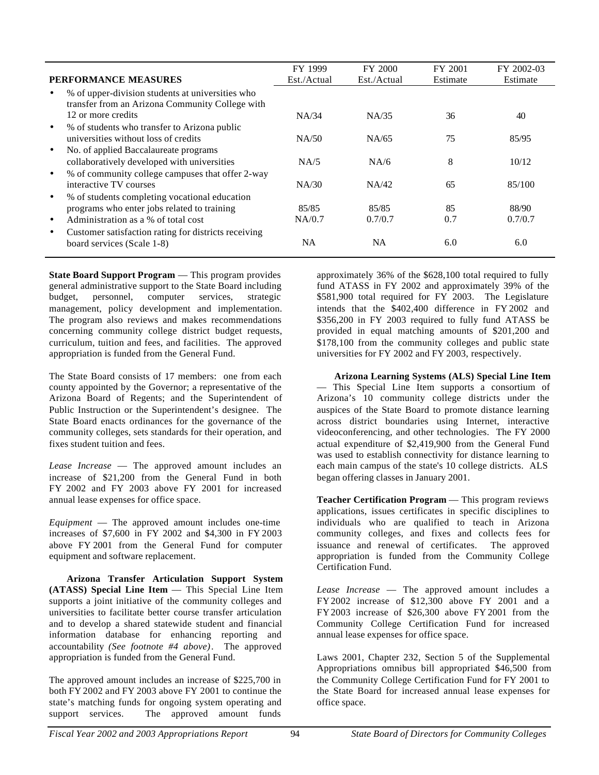| <b>PERFORMANCE MEASURES</b>                                                                         | FY 1999<br>Est./Actual | FY 2000<br>Est./Actual | FY 2001<br>Estimate | FY 2002-03<br>Estimate |
|-----------------------------------------------------------------------------------------------------|------------------------|------------------------|---------------------|------------------------|
| % of upper-division students at universities who<br>transfer from an Arizona Community College with |                        |                        |                     |                        |
| 12 or more credits                                                                                  | NA/34                  | NA/35                  | 36                  | 40                     |
| % of students who transfer to Arizona public<br>$\bullet$<br>universities without loss of credits   | NA/50                  | NA/65                  | 75                  | 85/95                  |
| No. of applied Baccalaureate programs<br>$\bullet$<br>collaboratively developed with universities   | NA/5                   | NA/6                   | 8                   | 10/12                  |
| % of community college campuses that offer 2-way<br>$\bullet$<br>interactive TV courses             | NA/30                  | NA/42                  | 65                  | 85/100                 |
| % of students completing vocational education<br>programs who enter jobs related to training        | 85/85                  | 85/85                  | 85                  | 88/90                  |
| Administration as a % of total cost<br>$\bullet$                                                    | NA/0.7                 | 0.7/0.7                | 0.7                 | 0.7/0.7                |
| Customer satisfaction rating for districts receiving<br>$\bullet$<br>board services (Scale 1-8)     | NA                     | NA                     | 6.0                 | 6.0                    |

**State Board Support Program** — This program provides general administrative support to the State Board including budget, personnel, computer services, strategic management, policy development and implementation. The program also reviews and makes recommendations concerning community college district budget requests, curriculum, tuition and fees, and facilities. The approved appropriation is funded from the General Fund.

The State Board consists of 17 members: one from each county appointed by the Governor; a representative of the Arizona Board of Regents; and the Superintendent of Public Instruction or the Superintendent's designee. The State Board enacts ordinances for the governance of the community colleges, sets standards for their operation, and fixes student tuition and fees.

*Lease Increase* — The approved amount includes an increase of \$21,200 from the General Fund in both FY 2002 and FY 2003 above FY 2001 for increased annual lease expenses for office space.

*Equipment* — The approved amount includes one-time increases of \$7,600 in FY 2002 and \$4,300 in FY 2003 above FY 2001 from the General Fund for computer equipment and software replacement.

**Arizona Transfer Articulation Support System (ATASS) Special Line Item** — This Special Line Item supports a joint initiative of the community colleges and universities to facilitate better course transfer articulation and to develop a shared statewide student and financial information database for enhancing reporting and accountability *(See footnote #4 above)*. The approved appropriation is funded from the General Fund.

The approved amount includes an increase of \$225,700 in both FY 2002 and FY 2003 above FY 2001 to continue the state's matching funds for ongoing system operating and support services. The approved amount funds

approximately 36% of the \$628,100 total required to fully fund ATASS in FY 2002 and approximately 39% of the \$581,900 total required for FY 2003. The Legislature intends that the \$402,400 difference in FY 2002 and \$356,200 in FY 2003 required to fully fund ATASS be provided in equal matching amounts of \$201,200 and \$178,100 from the community colleges and public state universities for FY 2002 and FY 2003, respectively.

**Arizona Learning Systems (ALS) Special Line Item** — This Special Line Item supports a consortium of Arizona's 10 community college districts under the auspices of the State Board to promote distance learning across district boundaries using Internet, interactive videoconferencing, and other technologies. The FY 2000 actual expenditure of \$2,419,900 from the General Fund was used to establish connectivity for distance learning to each main campus of the state's 10 college districts. ALS began offering classes in January 2001.

**Teacher Certification Program** — This program reviews applications, issues certificates in specific disciplines to individuals who are qualified to teach in Arizona community colleges, and fixes and collects fees for issuance and renewal of certificates. The approved appropriation is funded from the Community College Certification Fund.

*Lease Increase* — The approved amount includes a FY 2002 increase of \$12,300 above FY 2001 and a FY 2003 increase of \$26,300 above FY 2001 from the Community College Certification Fund for increased annual lease expenses for office space.

Laws 2001, Chapter 232, Section 5 of the Supplemental Appropriations omnibus bill appropriated \$46,500 from the Community College Certification Fund for FY 2001 to the State Board for increased annual lease expenses for office space.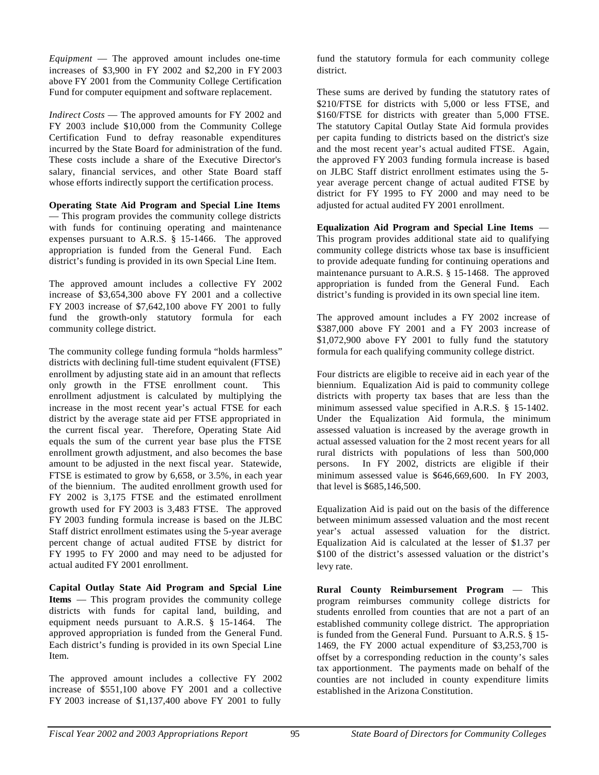*Equipment* — The approved amount includes one-time increases of \$3,900 in FY 2002 and \$2,200 in FY 2003 above FY 2001 from the Community College Certification Fund for computer equipment and software replacement.

*Indirect Costs* — The approved amounts for FY 2002 and FY 2003 include \$10,000 from the Community College Certification Fund to defray reasonable expenditures incurred by the State Board for administration of the fund. These costs include a share of the Executive Director's salary, financial services, and other State Board staff whose efforts indirectly support the certification process.

## **Operating State Aid Program and Special Line Items**

— This program provides the community college districts with funds for continuing operating and maintenance expenses pursuant to A.R.S. § 15-1466. The approved appropriation is funded from the General Fund. Each district's funding is provided in its own Special Line Item.

The approved amount includes a collective FY 2002 increase of \$3,654,300 above FY 2001 and a collective FY 2003 increase of \$7,642,100 above FY 2001 to fully fund the growth-only statutory formula for each community college district.

The community college funding formula "holds harmless" districts with declining full-time student equivalent (FTSE) enrollment by adjusting state aid in an amount that reflects only growth in the FTSE enrollment count. enrollment adjustment is calculated by multiplying the increase in the most recent year's actual FTSE for each district by the average state aid per FTSE appropriated in the current fiscal year. Therefore, Operating State Aid equals the sum of the current year base plus the FTSE enrollment growth adjustment, and also becomes the base amount to be adjusted in the next fiscal year. Statewide, FTSE is estimated to grow by 6,658, or 3.5%, in each year of the biennium. The audited enrollment growth used for FY 2002 is 3,175 FTSE and the estimated enrollment growth used for FY 2003 is 3,483 FTSE. The approved FY 2003 funding formula increase is based on the JLBC Staff district enrollment estimates using the 5-year average percent change of actual audited FTSE by district for FY 1995 to FY 2000 and may need to be adjusted for actual audited FY 2001 enrollment.

**Capital Outlay State Aid Program and Special Line Items** — This program provides the community college districts with funds for capital land, building, and equipment needs pursuant to A.R.S. § 15-1464. The approved appropriation is funded from the General Fund. Each district's funding is provided in its own Special Line Item.

The approved amount includes a collective FY 2002 increase of \$551,100 above FY 2001 and a collective FY 2003 increase of \$1,137,400 above FY 2001 to fully

fund the statutory formula for each community college district.

These sums are derived by funding the statutory rates of \$210/FTSE for districts with 5,000 or less FTSE, and \$160/FTSE for districts with greater than 5,000 FTSE. The statutory Capital Outlay State Aid formula provides per capita funding to districts based on the district's size and the most recent year's actual audited FTSE. Again, the approved FY 2003 funding formula increase is based on JLBC Staff district enrollment estimates using the 5 year average percent change of actual audited FTSE by district for FY 1995 to FY 2000 and may need to be adjusted for actual audited FY 2001 enrollment.

**Equalization Aid Program and Special Line Items** — This program provides additional state aid to qualifying community college districts whose tax base is insufficient to provide adequate funding for continuing operations and maintenance pursuant to A.R.S. § 15-1468. The approved appropriation is funded from the General Fund. Each district's funding is provided in its own special line item.

The approved amount includes a FY 2002 increase of \$387,000 above FY 2001 and a FY 2003 increase of \$1,072,900 above FY 2001 to fully fund the statutory formula for each qualifying community college district.

Four districts are eligible to receive aid in each year of the biennium. Equalization Aid is paid to community college districts with property tax bases that are less than the minimum assessed value specified in A.R.S. § 15-1402. Under the Equalization Aid formula, the minimum assessed valuation is increased by the average growth in actual assessed valuation for the 2 most recent years for all rural districts with populations of less than 500,000 persons. In FY 2002, districts are eligible if their minimum assessed value is \$646,669,600. In FY 2003, that level is \$685,146,500.

Equalization Aid is paid out on the basis of the difference between minimum assessed valuation and the most recent year's actual assessed valuation for the district. Equalization Aid is calculated at the lesser of \$1.37 per \$100 of the district's assessed valuation or the district's levy rate.

**Rural County Reimbursement Program** — This program reimburses community college districts for students enrolled from counties that are not a part of an established community college district. The appropriation is funded from the General Fund. Pursuant to A.R.S. § 15- 1469, the FY 2000 actual expenditure of \$3,253,700 is offset by a corresponding reduction in the county's sales tax apportionment. The payments made on behalf of the counties are not included in county expenditure limits established in the Arizona Constitution.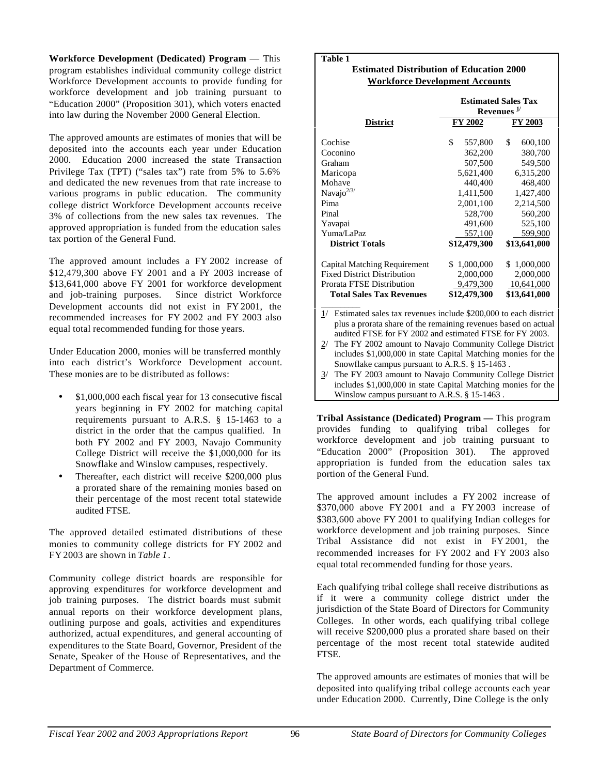**Workforce Development (Dedicated) Program** — This program establishes individual community college district Workforce Development accounts to provide funding for workforce development and job training pursuant to "Education 2000" (Proposition 301), which voters enacted into law during the November 2000 General Election.

The approved amounts are estimates of monies that will be deposited into the accounts each year under Education 2000. Education 2000 increased the state Transaction Privilege Tax (TPT) ("sales tax") rate from 5% to 5.6% and dedicated the new revenues from that rate increase to various programs in public education. The community college district Workforce Development accounts receive 3% of collections from the new sales tax revenues. The approved appropriation is funded from the education sales tax portion of the General Fund.

The approved amount includes a FY 2002 increase of \$12,479,300 above FY 2001 and a FY 2003 increase of \$13,641,000 above FY 2001 for workforce development and job-training purposes. Since district Workforce Development accounts did not exist in FY 2001, the recommended increases for FY 2002 and FY 2003 also equal total recommended funding for those years.

Under Education 2000, monies will be transferred monthly into each district's Workforce Development account. These monies are to be distributed as follows:

- **·** \$1,000,000 each fiscal year for 13 consecutive fiscal years beginning in FY 2002 for matching capital requirements pursuant to A.R.S. § 15-1463 to a district in the order that the campus qualified. In both FY 2002 and FY 2003, Navajo Community College District will receive the \$1,000,000 for its Snowflake and Winslow campuses, respectively.
- **·** Thereafter, each district will receive \$200,000 plus a prorated share of the remaining monies based on their percentage of the most recent total statewide audited FTSE.

The approved detailed estimated distributions of these monies to community college districts for FY 2002 and FY 2003 are shown in *Table 1*.

Community college district boards are responsible for approving expenditures for workforce development and job training purposes. The district boards must submit annual reports on their workforce development plans, outlining purpose and goals, activities and expenditures authorized, actual expenditures, and general accounting of expenditures to the State Board, Governor, President of the Senate, Speaker of the House of Representatives, and the Department of Commerce.

## **Table 1**

## **Estimated Distribution of Education 2000 Workforce Development Accounts**

|                 | <b>Estimated Sales Tax</b><br>Revenues $\frac{1}{2}$ |  |  |
|-----------------|------------------------------------------------------|--|--|
| FY 2002         | FY 2003                                              |  |  |
| \$<br>557,800   | \$<br>600,100                                        |  |  |
| 362,200         | 380,700                                              |  |  |
| 507,500         | 549,500                                              |  |  |
| 5,621,400       | 6,315,200                                            |  |  |
| 440,400         | 468,400                                              |  |  |
| 1,411,500       | 1,427,400                                            |  |  |
| 2,001,100       | 2,214,500                                            |  |  |
| 528,700         | 560,200                                              |  |  |
| 491,600         | 525,100                                              |  |  |
| 557,100         | 599,900                                              |  |  |
| \$12,479,300    | \$13,641,000                                         |  |  |
| 1,000,000<br>S. | \$1,000,000                                          |  |  |
| 2,000,000       | 2,000,000                                            |  |  |
| 9,479,300       | 10,641,000                                           |  |  |
| \$12,479,300    | \$13,641,000                                         |  |  |
|                 |                                                      |  |  |

1/ Estimated sales tax revenues include \$200,000 to each district plus a prorata share of the remaining revenues based on actual audited FTSE for FY 2002 and estimated FTSE for FY 2003.

- 2/ The FY 2002 amount to Navajo Community College District includes \$1,000,000 in state Capital Matching monies for the Snowflake campus pursuant to A.R.S. § 15-1463 .
- 3/ The FY 2003 amount to Navajo Community College District includes \$1,000,000 in state Capital Matching monies for the Winslow campus pursuant to A.R.S. § 15-1463 .

**Tribal Assistance (Dedicated) Program —** This program provides funding to qualifying tribal colleges for workforce development and job training pursuant to "Education 2000" (Proposition 301). The approved appropriation is funded from the education sales tax portion of the General Fund.

The approved amount includes a FY 2002 increase of \$370,000 above FY 2001 and a FY 2003 increase of \$383,600 above FY 2001 to qualifying Indian colleges for workforce development and job training purposes. Since Tribal Assistance did not exist in FY 2001, the recommended increases for FY 2002 and FY 2003 also equal total recommended funding for those years.

Each qualifying tribal college shall receive distributions as if it were a community college district under the jurisdiction of the State Board of Directors for Community Colleges. In other words, each qualifying tribal college will receive \$200,000 plus a prorated share based on their percentage of the most recent total statewide audited FTSE.

The approved amounts are estimates of monies that will be deposited into qualifying tribal college accounts each year under Education 2000. Currently, Dine College is the only